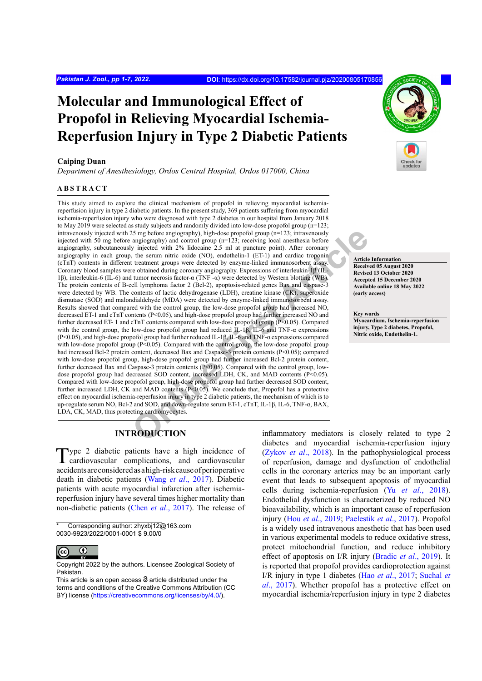# **Molecular and Immunological Effect of Propofol in Relieving Myocardial Ischemia-Reperfusion Injury in Type 2 Diabetic Patients**

#### **Caiping Duan**

*Department of Anesthesiology, Ordos Central Hospital, Ordos 017000, China*

#### **ABSTRACT**

25 mg before angiography), high-dose propofol group (n=123; intravenously<br>angography) and control group (n=123; receiving local anesthesia before<br>projective technomic projects and control group (n=123). The serum intic oxi This study aimed to explore the clinical mechanism of propofol in relieving myocardial ischemiareperfusion injury in type 2 diabetic patients. In the present study, 369 patients suffering from myocardial ischemia-reperfusion injury who were diagnosed with type 2 diabetes in our hospital from January 2018 to May 2019 were selected as study subjects and randomly divided into low-dose propofol group (n=123; intravenously injected with 25 mg before angiography), high-dose propofol group (n=123; intravenously injected with 50 mg before angiography) and control group (n=123; receiving local anesthesia before angiography, subcutaneously injected with 2% lidocaine 2.5 ml at puncture point). After coronary angiography in each group, the serum nitric oxide (NO), endothelin-1 (ET-1) and cardiac troponin (cTnT) contents in different treatment groups were detected by enzyme-linked immunosorbent assay. Coronary blood samples were obtained during coronary angiography. Expressions of interleukin-1β (IL-1β), interleukin-6 (IL-6) and tumor necrosis factor-α (TNF -α) were detected by Western blotting (WB). The protein contents of B-cell lymphoma factor 2 (Bcl-2), apoptosis-related genes Bax and caspase-3 were detected by WB. The contents of lactic dehydrogenase (LDH), creatine kinase (CK), superoxide dismutase (SOD) and malondialdehyde (MDA) were detected by enzyme-linked immunosorbent assay. Results showed that compared with the control group, the low-dose propofol group had increased NO, decreased ET-1 and cTnT contents (P<0.05), and high-dose propofol group had further increased NO and further decreased ET- 1 and cTnT contents compared with low-dose propofol group (P<0.05). Compared with the control group, the low-dose propofol group had reduced  $IL-1B$ , IL-6 and TNF- $\alpha$  expressions (P<0.05), and high-dose propofol group had further reduced IL-1β, IL-6 and TNF-α expressions compared with low-dose propofol group (P<0.05). Compared with the control group, the low-dose propofol group had increased Bcl-2 protein content, decreased Bax and Caspase-3 protein contents (P<0.05); compared with low-dose propofol group, high-dose propofol group had further increased Bcl-2 protein content, further decreased Bax and Caspase-3 protein contents (P<0.05). Compared with the control group, lowdose propofol group had decreased SOD content, increased LDH, CK, and MAD contents (P<0.05). Compared with low-dose propofol group, high-dose propofol group had further decreased SOD content, further increased LDH, CK and MAD contents  $(P<0.05)$ . We conclude that, Propofol has a protective effect on myocardial ischemia-reperfusion injury in type 2 diabetic patients, the mechanism of which is to up-regulate serum NO, Bcl-2 and SOD, and down-regulate serum ET-1, cTnT, IL-1β, IL-6, TNF-α, BAX, LDA, CK, MAD, thus protecting cardiomyocytes.

**Article Information Received 05 August 2020 Revised 13 October 2020 Accepted 15 December 2020 Available online 18 May 2022 (early access)**

**Key words Myocardium, Ischemia-reperfusion injury, Type 2 diabetes, Propofol, Nitric oxide, Endothelin-1.**

# **INTRODUCTION**

Type 2 diabetic patients have a high incidence of cardiovascular complications, and cardiovascular accidents are considered as a high-risk cause of perioperative death in diabetic patients (Wang *et al*[., 2017](#page-6-0)). Diabetic patients with acute myocardial infarction after ischemiareperfusion injury have several times higher mortality than non-diabetic patients (Chen *et al*[., 2017\)](#page-5-0). The release of

Corresponding author: zhyxbj12@163.com 0030-9923/2022/0001-0001 \$ 9.00/0



Copyright 2022 by the authors. Licensee Zoological Society of Pakistan.

This article is an open access  $\Theta$  article distributed under the terms and conditions of the Creative Commons Attribution (CC BY) license (https://creativecommons.org/licenses/by/4.0/).

inflammatory mediators is closely related to type 2 diabetes and myocardial ischemia-reperfusion injury [\(Zykov](#page-6-1) *et al*., 2018). In the pathophysiological process of reperfusion, damage and dysfunction of endothelial cells in the coronary arteries may be an important early event that leads to subsequent apoptosis of myocardial cells during ischemia-reperfusion (Yu *et al*[., 2018\)](#page-6-2). Endothelial dysfunction is characterized by reduced NO bioavailability, which is an important cause of reperfusion injury (Hou *et al*[., 2019;](#page-5-1) Paelestik *et al*., 2017). Propofol is a widely used intravenous anesthetic that has been used in various experimental models to reduce oxidative stress, protect mitochondrial function, and reduce inhibitory effect of apoptosis on I/R injury ([Bradic](#page-5-2) *et al*., 2019). It is reported that propofol provides cardioprotection against I/R injury in type 1 diabetes (Hao *et al*[., 2017;](#page-5-3) [Suchal](#page-6-3) *et al*[., 2017](#page-6-3)). Whether propofol has a protective effect on myocardial ischemia/reperfusion injury in type 2 diabetes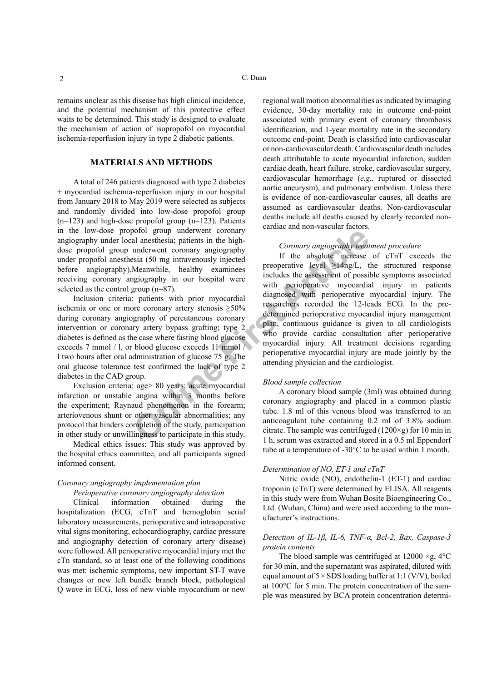remains unclear as this disease has high clinical incidence, and the potential mechanism of this protective effect waits to be determined. This study is designed to evaluate the mechanism of action of isopropofol on myocardial ischemia-reperfusion injury in type 2 diabetic patients.

# **MATERIALS AND METHODS**

A total of 246 patients diagnosed with type 2 diabetes + myocardial ischemia-reperfusion injury in our hospital from January 2018 to May 2019 were selected as subjects and randomly divided into low-dose propofol group (n=123) and high-dose propofol group (n=123). Patients in the low-dose propofol group underwent coronary angiography under local anesthesia; patients in the highdose propofol group underwent coronary angiography under propofol anesthesia (50 mg intravenously injected before angiography).Meanwhile, healthy examinees receiving coronary angiography in our hospital were selected as the control group (n=87).

Inclusion criteria: patients with prior myocardial ischemia or one or more coronary artery stenosis  $\geq 50\%$ during coronary angiography of percutaneous coronary intervention or coronary artery bypass grafting; type 2 diabetes is defined as the case where fasting blood glucose exceeds 7 mmol / l, or blood glucose exceeds 11 mmol / l two hours after oral administration of glucose 75 g. The oral glucose tolerance test confirmed the lack of type 2 diabetes in the CAD group.

Exclusion criteria: age> 80 years; acute myocardial infarction or unstable angina within 3 months before the experiment; Raynaud phenomenon in the forearm; arteriovenous shunt or other vascular abnormalities; any protocol that hinders completion of the study, participation in other study or unwillingness to participate in this study.

Medical ethics issues: This study was approved by the hospital ethics committee, and all participants signed informed consent.

#### *Coronary angiography implementation plan Perioperative coronary angiography detection*

Clinical information obtained during the hospitalization (ECG, cTnT and hemoglobin serial laboratory measurements, perioperative and intraoperative vital signs monitoring, echocardiography, cardiac pressure and angiography detection of coronary artery disease) were followed. All perioperative myocardial injury met the cTn standard, so at least one of the following conditions was met: ischemic symptoms, new important ST-T wave changes or new left bundle branch block, pathological Q wave in ECG, loss of new viable myocardium or new regional wall motion abnormalities as indicated by imaging evidence, 30-day mortality rate in outcome end-point associated with primary event of coronary thrombosis identification, and 1-year mortality rate in the secondary outcome end-point. Death is classified into cardiovascular or non-cardiovascular death. Cardiovascular death includes death attributable to acute myocardial infarction, sudden cardiac death, heart failure, stroke, cardiovascular surgery, cardiovascular hemorrhage (*e.g.,* ruptured or dissected aortic aneurysm), and pulmonary embolism. Unless there is evidence of non-cardiovascular causes, all deaths are assumed as cardiovascular deaths. Non-cardiovascular deaths include all deaths caused by clearly recorded noncardiac and non-vascular factors.

# *Coronary angiography treatment procedure*

orbid group underwent coronary<br>
an anesthesia, patients in the high-<br>
underwent coronary angiography<br>
underwent coronary angiography<br>
underwent coronary angiography<br>
if the absolute increase<br>
Meanwhile, healthy examines<br> If the absolute increase of cTnT exceeds the preoperative level  $\geq 14$ ng/L, the structured response includes the assessment of possible symptoms associated with perioperative myocardial injury in patients diagnosed with perioperative myocardial injury. The researchers recorded the 12-leads ECG. In the predetermined perioperative myocardial injury management plan, continuous guidance is given to all cardiologists who provide cardiac consultation after perioperative myocardial injury. All treatment decisions regarding perioperative myocardial injury are made jointly by the attending physician and the cardiologist.

#### *Blood sample collection*

A coronary blood sample (3ml) was obtained during coronary angiography and placed in a common plastic tube. 1.8 ml of this venous blood was transferred to an anticoagulant tube containing 0.2 ml of 3.8% sodium citrate. The sample was centrifuged (1200 $\times$ g) for 10 min in 1 h, serum was extracted and stored in a 0.5 ml Eppendorf tube at a temperature of -30°C to be used within 1 month.

#### *Determination of NO, ET-1 and cTnT*

Nitric oxide (NO), endothelin-1 (ET-1) and cardiac troponin (cTnT) were determined by ELISA. All reagents in this study were from Wuhan Bosite Bioengineering Co., Ltd. (Wuhan, China) and were used according to the manufacturer's instructions.

## *Detection of IL-1β, IL-6, TNF-α, Bcl-2, Bax, Caspase-3 protein contents*

The blood sample was centrifuged at  $12000 \times g$ ,  $4^{\circ}$ C for 30 min, and the supernatant was aspirated, diluted with equal amount of  $5 \times$  SDS loading buffer at 1:1 (V/V), boiled at 100°C for 5 min. The protein concentration of the sample was measured by BCA protein concentration determi-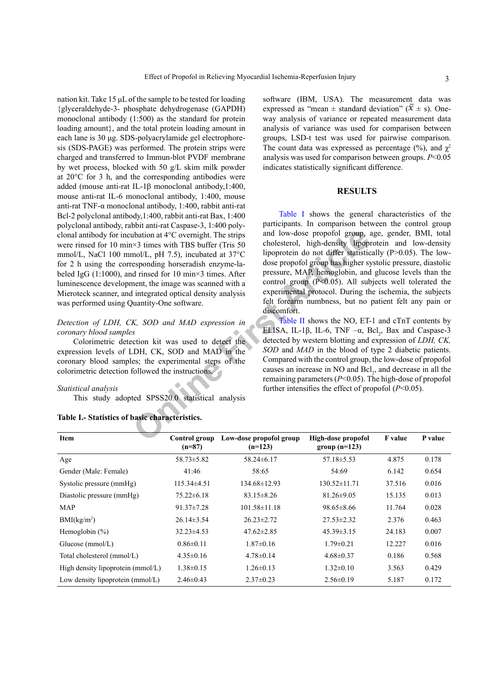nation kit. Take 15 μL of the sample to be tested for loading {glyceraldehyde-3- phosphate dehydrogenase (GAPDH) monoclonal antibody (1:500) as the standard for protein loading amount}, and the total protein loading amount in each lane is 30 μg. SDS-polyacrylamide gel electrophoresis (SDS-PAGE) was performed. The protein strips were charged and transferred to Immun-blot PVDF membrane by wet process, blocked with 50 g/L skim milk powder at 20°C for 3 h, and the corresponding antibodies were added (mouse anti-rat IL-1β monoclonal antibody,1:400, mouse anti-rat IL-6 monoclonal antibody, 1:400, mouse anti-rat TNF-α monoclonal antibody, 1:400, rabbit anti-rat Bcl-2 polyclonal antibody,1:400, rabbit anti-rat Bax, 1:400 polyclonal antibody, rabbit anti-rat Caspase-3, 1:400 polyclonal antibody for incubation at 4°C overnight. The strips were rinsed for 10 min×3 times with TBS buffer (Tris 50 mmol/L, NaCl 100 mmol/L, pH 7.5), incubated at 37°C for 2 h using the corresponding horseradish enzyme-labeled IgG (1:1000), and rinsed for 10 min×3 times. After luminescence development, the image was scanned with a Mieroteck scanner, and integrated optical density analysis was performed using Quantity-One software.

# *Detection of LDH, CK, SOD and MAD expression in coronary blood samples*

Colorimetric detection kit was used to detect the expression levels of LDH, CK, SOD and MAD in the coronary blood samples; the experimental steps of the colorimetric detection followed the instructions.

### *Statistical analysis*

This study adopted SPSS20.0 statistical analysis

<span id="page-2-0"></span>

| Table I.- Statistics of basic characteristics. |  |  |  |  |  |
|------------------------------------------------|--|--|--|--|--|
|------------------------------------------------|--|--|--|--|--|

software (IBM, USA). The measurement data was expressed as "mean  $\pm$  standard deviation" ( $\mathbf{x} \pm$  s). Oneway analysis of variance or repeated measurement data analysis of variance was used for comparison between groups, LSD-t test was used for pairwise comparison. The count data was expressed as percentage  $(\%)$ , and  $\gamma^2$ analysis was used for comparison between groups. *P*<0.05 indicates statistically significant difference.

# **RESULTS**

Motion at 4°C overnight. The strips<br>  $\mu$ s and low-dose propofol group, it<br>  $\mu$ s articles with TBS buffer (Tris 50 cholesterol, high-density lipop<br>
mol/L, pH 7.5), incubated at 37°C lipoprotein do not differ statistic<br>
d [Table I](#page-2-0) shows the general characteristics of the participants. In comparison between the control group and low-dose propofol group, age, gender, BMI, total cholesterol, high-density lipoprotein and low-density lipoprotein do not differ statistically (P>0.05). The lowdose propofol group has higher systolic pressure, diastolic pressure, MAP, hemoglobin, and glucose levels than the control group  $(P<0.05)$ . All subjects well tolerated the experimental protocol. During the ischemia, the subjects felt forearm numbness, but no patient felt any pain or discomfort.

Table II shows the NO, ET-1 and cTnT contents by ELISA, IL-1β, IL-6, TNF  $-\alpha$ , Bcl<sub>2</sub>, Bax and Caspase-3 detected by western blotting and expression of *LDH, CK, SOD* and *MAD* in the blood of type 2 diabetic patients. Compared with the control group, the low-dose of propofol causes an increase in  $NO$  and  $Bel<sub>2</sub>$ , and decrease in all the remaining parameters (*P*<0.05). The high-dose of propofol further intensifies the effect of propofol (*P*<0.05).

| <b>Item</b>                       | Control group<br>$(n=87)$ | Low-dose propofol group<br>$(n=123)$ | High-dose propofol<br>group $(n=123)$ | <b>F</b> value | P value |
|-----------------------------------|---------------------------|--------------------------------------|---------------------------------------|----------------|---------|
| Age                               | $58.73 \pm 5.82$          | 58.24±6.17                           | $57.18 \pm 5.53$                      | 4.875          | 0.178   |
| Gender (Male: Female)             | 41:46                     | 58:65                                | 54:69                                 | 6.142          | 0.654   |
| Systolic pressure (mmHg)          | $115.34\pm4.51$           | 134.68±12.93                         | $130.52 \pm 11.71$                    | 37.516         | 0.016   |
| Diastolic pressure (mmHg)         | $75.22 \pm 6.18$          | $83.15 \pm 8.26$                     | $81.26 \pm 9.05$                      | 15.135         | 0.013   |
| <b>MAP</b>                        | $91.37 \pm 7.28$          | $101.58 \pm 11.18$                   | $98.65 \pm 8.66$                      | 11.764         | 0.028   |
| BMI(kg/m <sup>2</sup> )           | $26.14\pm3.54$            | $26.23 \pm 2.72$                     | $27.53 \pm 2.32$                      | 2.376          | 0.463   |
| Hemoglobin $(\% )$                | $32.23 \pm 4.53$          | $47.62 \pm 2.85$                     | $45.39 \pm 3.15$                      | 24.183         | 0.007   |
| Glucose $(mmol/L)$                | $0.86 \pm 0.11$           | $1.87\pm0.16$                        | $1.79 \pm 0.21$                       | 12.227         | 0.016   |
| Total cholesterol (mmol/L)        | $4.35 \pm 0.16$           | $4.78 \pm 0.14$                      | $4.68 \pm 0.37$                       | 0.186          | 0.568   |
| High density lipoprotein (mmol/L) | $1.38 \pm 0.15$           | $1.26 \pm 0.13$                      | $1.32 \pm 0.10$                       | 3.563          | 0.429   |
| Low density lipoprotein (mmol/L)  | $2.46\pm0.43$             | $2.37\pm0.23$                        | $2.56\pm0.19$                         | 5.187          | 0.172   |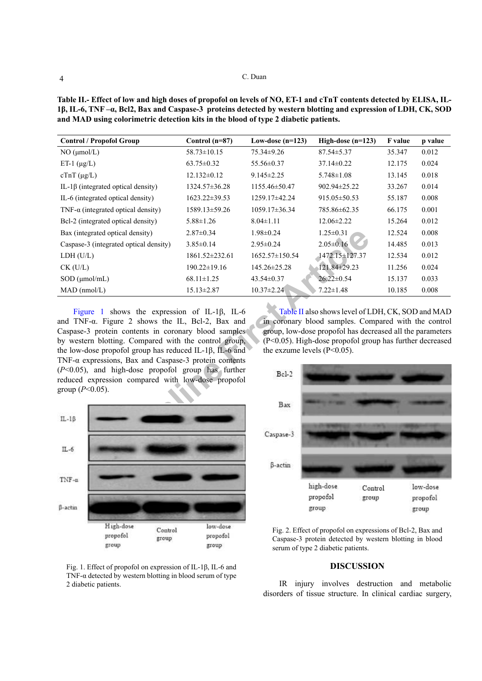**Table II.- Effect of low and high doses of propofol on levels of NO, ET-1 and cTnT contents detected by ELISA, IL-1β, IL-6, TNF –α, Bcl2, Bax and Caspase-3 proteins detected by western blotting and expression of LDH, CK, SOD and MAD using colorimetric detection kits in the blood of type 2 diabetic patients.**

| <b>Control / Propofol Group</b>                                                                                                                                                                                                                                                                                                                                                                                                                                                                                                                                                                                                                                                                                                                                                                    | Control $(n=87)$     | Low-dose $(n=123)$                   | High-dose $(n=123)$ | F value | p value |  |  |  |  |
|----------------------------------------------------------------------------------------------------------------------------------------------------------------------------------------------------------------------------------------------------------------------------------------------------------------------------------------------------------------------------------------------------------------------------------------------------------------------------------------------------------------------------------------------------------------------------------------------------------------------------------------------------------------------------------------------------------------------------------------------------------------------------------------------------|----------------------|--------------------------------------|---------------------|---------|---------|--|--|--|--|
| NO (µmol/L)                                                                                                                                                                                                                                                                                                                                                                                                                                                                                                                                                                                                                                                                                                                                                                                        | $58.73 \pm 10.15$    | 75.34±9.26                           | $87.54 \pm 5.37$    | 35.347  | 0.012   |  |  |  |  |
| ET-1 $(\mu g/L)$                                                                                                                                                                                                                                                                                                                                                                                                                                                                                                                                                                                                                                                                                                                                                                                   | $63.75 \pm 0.32$     | 55.56±0.37                           | $37.14 \pm 0.22$    | 12.175  | 0.024   |  |  |  |  |
| $cTnT (\mu g/L)$                                                                                                                                                                                                                                                                                                                                                                                                                                                                                                                                                                                                                                                                                                                                                                                   | $12.132 \pm 0.12$    | $9.145 \pm 2.25$<br>$5.748 \pm 1.08$ |                     | 13.145  | 0.018   |  |  |  |  |
| IL-1β (integrated optical density)                                                                                                                                                                                                                                                                                                                                                                                                                                                                                                                                                                                                                                                                                                                                                                 | 1324.57±36.28        | 1155.46±50.47                        | 902.94±25.22        | 33.267  | 0.014   |  |  |  |  |
| IL-6 (integrated optical density)                                                                                                                                                                                                                                                                                                                                                                                                                                                                                                                                                                                                                                                                                                                                                                  | 1623.22±39.53        | 1259.17±42.24                        | 915.05 ± 50.53      | 55.187  | 0.008   |  |  |  |  |
| TNF- $\alpha$ (integrated optical density)                                                                                                                                                                                                                                                                                                                                                                                                                                                                                                                                                                                                                                                                                                                                                         | 1589.13±59.26        | $1059.17 \pm 36.34$<br>785.86±62.35  |                     | 66.175  | 0.001   |  |  |  |  |
| Bcl-2 (integrated optical density)                                                                                                                                                                                                                                                                                                                                                                                                                                                                                                                                                                                                                                                                                                                                                                 | $5.88 \pm 1.26$      | $8.04 \pm 1.11$<br>$12.06 \pm 2.22$  |                     | 15.264  | 0.012   |  |  |  |  |
| Bax (integrated optical density)                                                                                                                                                                                                                                                                                                                                                                                                                                                                                                                                                                                                                                                                                                                                                                   | $2.87 \pm 0.34$      | $1.98 \pm 0.24$                      | $1.25 \pm 0.31$     |         | 0.008   |  |  |  |  |
| Caspase-3 (integrated optical density)                                                                                                                                                                                                                                                                                                                                                                                                                                                                                                                                                                                                                                                                                                                                                             | $3.85 \pm 0.14$      | $2.95 \pm 0.24$                      | $2.05 \pm 0.16$     |         | 0.013   |  |  |  |  |
| LDH (U/L)                                                                                                                                                                                                                                                                                                                                                                                                                                                                                                                                                                                                                                                                                                                                                                                          | $1861.52 \pm 232.61$ | 1652.57±150.54                       | 1472.15±127.37      |         | 0.012   |  |  |  |  |
| $CK$ (U/L)                                                                                                                                                                                                                                                                                                                                                                                                                                                                                                                                                                                                                                                                                                                                                                                         | 190.22±19.16         | 145.26±25.28                         | 121.84±29.23        | 11.256  | 0.024   |  |  |  |  |
| $SOD$ ( $\mu$ mol/mL)                                                                                                                                                                                                                                                                                                                                                                                                                                                                                                                                                                                                                                                                                                                                                                              | $68.11 \pm 1.25$     | $43.54 \pm 0.37$                     | $26.22 \pm 0.54$    | 15.137  | 0.033   |  |  |  |  |
| $MAD$ (nmol/L)                                                                                                                                                                                                                                                                                                                                                                                                                                                                                                                                                                                                                                                                                                                                                                                     | $15.13 \pm 2.87$     | $10.37 \pm 2.24$                     | $7.22 \pm 1.48$     | 10.185  | 0.008   |  |  |  |  |
| Table II also shows level of LDH, CK, SOD and MAD<br>Figure 1 shows the expression of IL-1 $\beta$ , IL-6<br>and TNF-a. Figure 2 shows the IL, Bcl-2, Bax and<br>in coronary blood samples. Compared with the control<br>Caspase-3 protein contents in coronary blood samples<br>group, low-dose propofol has decreased all the parameters<br>by western blotting. Compared with the control group,<br>$(P<0.05)$ . High-dose propofol group has further decreased<br>the low-dose propofol group has reduced IL-1 $\beta$ , IL-6 and<br>the exzume levels $(P<0.05)$ .<br>TNF- $\alpha$ expressions, Bax and Caspase-3 protein contents<br>$(P<0.05)$ , and high-dose propofol group has further<br>$Be1-2$<br>reduced expression compared with low-dose propofol<br>group ( $P < 0.05$ ).<br>Bax |                      |                                      |                     |         |         |  |  |  |  |
| $IL-1\beta$                                                                                                                                                                                                                                                                                                                                                                                                                                                                                                                                                                                                                                                                                                                                                                                        |                      | Caspase-3                            |                     |         |         |  |  |  |  |



<span id="page-3-0"></span>Fig. 1. Effect of propofol on expression of IL-1β, IL-6 and TNF- $\alpha$  detected by western blotting in blood serum of type 2 diabetic patients.



Fig. 2. Effect of propofol on expressions of Bcl-2, Bax and Caspase-3 protein detected by western blotting in blood serum of type 2 diabetic patients.

# **DISCUSSION**

IR injury involves destruction and metabolic disorders of tissue structure. In clinical cardiac surgery,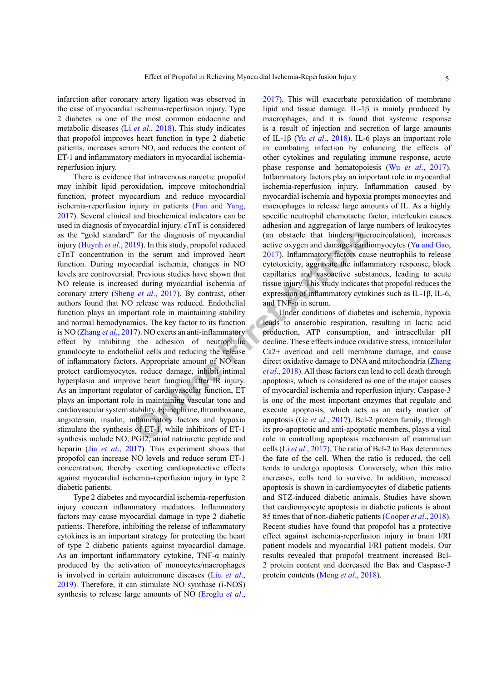infarction after coronary artery ligation was observed in the case of myocardial ischemia-reperfusion injury. Type 2 diabetes is one of the most common endocrine and metabolic diseases (Li *et al*[., 2018](#page-5-4)). This study indicates that propofol improves heart function in type 2 diabetic patients, increases serum NO, and reduces the content of ET-1 and inflammatory mediators in myocardial ischemiareperfusion injury.

The mean is study, propofolic and the study are of the diagnosis of myocardial<br>
1019). In this study, propofolic educed active oxygen and damages eard<br>
2017). Inflammatory factors can explicite in the serum and improved h There is evidence that intravenous narcotic propofol may inhibit lipid peroxidation, improve mitochondrial function, protect myocardium and reduce myocardial ischemia-reperfusion injury in patients ([Fan and Yang,](#page-5-5) [2017\)](#page-5-5). Several clinical and biochemical indicators can be used in diagnosis of myocardial injury. cTnT is considered as the "gold standard" for the diagnosis of myocardial injury (Huynh *et al*., 2019). In this study, propofol reduced cTnT concentration in the serum and improved heart function. During myocardial ischemia, changes in NO levels are controversial. Previous studies have shown that NO release is increased during myocardial ischemia of coronary artery (Sheng *et al*., 2017). By contrast, other authors found that NO release was reduced. Endothelial function plays an important role in maintaining stability and normal hemodynamics. The key factor to its function is NO ([Zhang](#page-6-4) *et al*., 2017). NO exerts an anti-inflammatory effect by inhibiting the adhesion of neutrophilic granulocyte to endothelial cells and reducing the release of inflammatory factors. Appropriate amount of NO can protect cardiomyocytes, reduce damage, inhibit intimal hyperplasia and improve heart function after IR injury. As an important regulator of cardiovascular function, ET plays an important role in maintaining vascular tone and cardiovascular system stability. Epinephrine, thromboxane, angiotensin, insulin, inflammatory factors and hypoxia stimulate the synthesis of ET-1, while inhibitors of ET-1 synthesis include NO, PGI2, atrial natriuretic peptide and heparin (Jia *et al*[., 2017\)](#page-5-7). This experiment shows that propofol can increase NO levels and reduce serum ET-1 concentration, thereby exerting cardioprotective effects against myocardial ischemia-reperfusion injury in type 2 diabetic patients.

Type 2 diabetes and myocardial ischemia-reperfusion injury concern inflammatory mediators. Inflammatory factors may cause myocardial damage in type 2 diabetic patients. Therefore, inhibiting the release of inflammatory cytokines is an important strategy for protecting the heart of type 2 diabetic patients against myocardial damage. As an important inflammatory cytokine, TNF-α mainly produced by the activation of monocytes/macrophages is involved in certain autoimmune diseases (Liu *[et al](#page-5-8)*., [2019\)](#page-5-8). Therefore, it can stimulate NO synthase (i-NOS) synthesis to release large amounts of NO [\(Eroglu](#page-5-9) *et al*.,

[2017\)](#page-5-9). This will exacerbate peroxidation of membrane lipid and tissue damage. IL-1β is mainly produced by macrophages, and it is found that systemic response is a result of injection and secretion of large amounts of IL-1β (Yu *et al*[., 2018](#page-6-5)). IL-6 plays an important role in combating infection by enhancing the effects of other cytokines and regulating immune response, acute phase response and hematopoiesis (Wu *et al*[., 2017](#page-6-6)). Inflammatory factors play an important role in myocardial ischemia-reperfusion injury. Inflammation caused by myocardial ischemia and hypoxia prompts monocytes and macrophages to release large amounts of IL. As a highly specific neutrophil chemotactic factor, interleukin causes adhesion and aggregation of large numbers of leukocytes (an obstacle that hinders microcirculation), increases active oxygen and damages cardiomyocytes [\(Yu and Gao,](#page-6-7) 2017). Inflammatory factors cause neutrophils to release cytotoxicity, aggravate the inflammatory response, block capillaries and vasoactive substances, leading to acute tissue injury. This study indicates that propofol reduces the expression of inflammatory cytokines such as IL-1β, IL-6, and TNF- $\alpha$  in serum.

Under conditions of diabetes and ischemia, hypoxia leads to anaerobic respiration, resulting in lactic acid production, ATP consumption, and intracellular pH decline. These effects induce oxidative stress, intracellular Ca2+ overload and cell membrane damage, and cause direct oxidative damage to DNA and mitochondria ([Zhang](#page-6-8) *et al*., 2018). All these factors can lead to cell death through apoptosis, which is considered as one of the major causes of myocardial ischemia and reperfusion injury. Caspase-3 is one of the most important enzymes that regulate and execute apoptosis, which acts as an early marker of apoptosis (Ge *et al*., 2017). Bcl-2 protein family, through its pro-apoptotic and anti-apoptotic members, plays a vital role in controlling apoptosis mechanism of mammalian cells (Li *et al*[., 2017](#page-5-11)). The ratio of Bcl-2 to Bax determines the fate of the cell. When the ratio is reduced, the cell tends to undergo apoptosis. Conversely, when this ratio increases, cells tend to survive. In addition, increased apoptosis is shown in cardiomyocytes of diabetic patients and STZ-induced diabetic animals. Studies have shown that cardiomyocyte apoptosis in diabetic patients is about 85 times that of non-diabetic patients [\(Cooper](#page-5-12) *et al*., 2018). Recent studies have found that propofol has a protective effect against ischemia-reperfusion injury in brain I/RI patient models and myocardial I/RI patient models. Our results revealed that propofol treatment increased Bcl-2 protein content and decreased the Bax and Caspase-3 protein contents (Meng *et al*[., 2018\)](#page-5-13).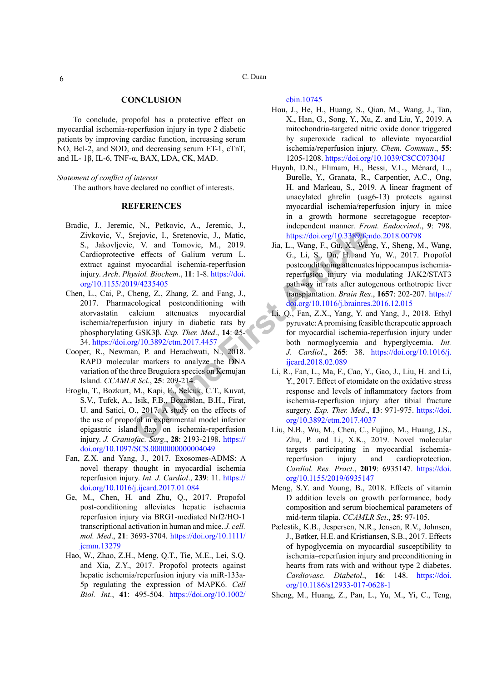C. Duan

#### **CONCLUSION**

To conclude, propofol has a protective effect on myocardial ischemia-reperfusion injury in type 2 diabetic patients by improving cardiac function, increasing serum NO, Bcl-2, and SOD, and decreasing serum ET-1, cTnT, and IL- 1β, IL-6, TNF- $α$ , BAX, LDA, CK, MAD.

#### *Statement of conflict of interest*

The authors have declared no conflict of interests.

#### **REFERENCES**

- <span id="page-5-2"></span>Controllary and Tomovic, J., Matic, https://doi.org/10.3389/fer<br>
in Fig. Controllar Schema are perfects of Galium verum L.<br>
C., Li, S., Du, H. and<br>
myocardal ischemia-reperfusion in postconditioning attenuates<br>
myocardal i Bradic, J., Jeremic, N., Petkovic, A., Jeremic, J., Zivkovic, V., Srejovic, I., Sretenovic, J., Matic, S., Jakovljevic, V. and Tomovic, M., 2019. Cardioprotective effects of Galium verum L. extract against myocardial ischemia-reperfusion injury. *Arch*. *Physiol. Biochem*., **11**: 1-8. https://doi. [org/10.1155/2019/4235405](https://doi.org/10.1155/2019/4235405)
- <span id="page-5-0"></span>Chen, L., Cai, P., Cheng, Z., Zhang, Z. and Fang, J., 2017. Pharmacological postconditioning with atorvastatin calcium attenuates myocardial ischemia/reperfusion injury in diabetic rats by phosphorylating GSK3β. *Exp. Ther. Med*., **14**: 25- 34.<https://doi.org/10.3892/etm.2017.4457>
- <span id="page-5-12"></span>Cooper, R., Newman, P. and Herachwati, N., 2018. RAPD molecular markers to analyze the DNA variation of the three Bruguiera species on Kemujan Island. *CCAMLR Sci*., **25**: 209-214.
- <span id="page-5-9"></span>Eroglu, T., Bozkurt, M., Kapi, E., Selcuk, C.T., Kuvat, S.V., Tufek, A., Isik, F.B., Bozarslan, B.H., Firat, U. and Satici, O., 2017. A study on the effects of the use of propofol in experimental model inferior epigastric island flap on ischemia-reperfusion injury. *J. Craniofac. Surg*., **28**: 2193-2198. https:// [doi.org/10.1097/SCS.0000000000004049](https://doi.org/10.1097/SCS.0000000000004049)
- <span id="page-5-5"></span>Fan, Z.X. and Yang, J., 2017. Exosomes-ADMS: A novel therapy thought in myocardial ischemia reperfusion injury. *Int. J. Cardiol*., **239**: 11. [https://](https://doi.org/10.1016/j.ijcard.2017.01.084) [doi.org/10.1016/j.ijcard.2017.01.084](https://doi.org/10.1016/j.ijcard.2017.01.084)
- <span id="page-5-10"></span>Ge, M., Chen, H. and Zhu, Q., 2017. Propofol post-conditioning alleviates hepatic ischaemia reperfusion injury via BRG1-mediated Nrf2/HO-1 transcriptional activation in human and mice. *J. cell. mol. Med*., **21**: 3693-3704. [https://doi.org/10.1111/](https://doi.org/10.1111/jcmm.13279) [jcmm.13279](https://doi.org/10.1111/jcmm.13279)
- <span id="page-5-3"></span>Hao, W., Zhao, Z.H., Meng, Q.T., Tie, M.E., Lei, S.Q. and Xia, Z.Y., 2017. Propofol protects against hepatic ischemia/reperfusion injury via miR-133a-5p regulating the expression of MAPK6. *Cell Biol. Int*., **41**: 495-504. [https://doi.org/10.1002/](https://doi.org/10.1002/cbin.10745)

[cbin.10745](https://doi.org/10.1002/cbin.10745)

- <span id="page-5-1"></span>Hou, J., He, H., Huang, S., Qian, M., Wang, J., Tan, X., Han, G., Song, Y., Xu, Z. and Liu, Y., 2019. A mitochondria-targeted nitric oxide donor triggered by superoxide radical to alleviate myocardial ischemia/reperfusion injury. *Chem. Commun*., **55**: 1205-1208. <https://doi.org/10.1039/C8CC07304J>
- Huynh, D.N., Elimam, H., Bessi, V.L., Ménard, L., Burelle, Y., Granata, R., Carpentier, A.C., Ong, H. and Marleau, S., 2019. A linear fragment of unacylated ghrelin (uag6-13) protects against myocardial ischemia/reperfusion injury in mice in a growth hormone secretagogue receptorindependent manner. *Front. Endocrinol*., **9**: 798. <https://doi.org/10.3389/fendo.2018.00798>
- <span id="page-5-7"></span>Jia, L., Wang, F., Gu, X., Weng, Y., Sheng, M., Wang, G., Li, S., Du, H. and Yu, W., 2017. Propofol postconditioning attenuates hippocampus ischemiareperfusion injury via modulating JAK2/STAT3 pathway in rats after autogenous orthotropic liver transplantation. *Brain Res*., **1657**: 202-207. [https://](https://doi.org/10.1016/j.brainres.2016.12.015) [doi.org/10.1016/j.brainres.2016.12.015](https://doi.org/10.1016/j.brainres.2016.12.015)
- <span id="page-5-4"></span>Li, Q., Fan, Z.X., Yang, Y. and Yang, J., 2018. Ethyl pyruvate: A promising feasible therapeutic approach for myocardial ischemia-reperfusion injury under both normoglycemia and hyperglycemia. *Int. J. Cardiol*., **265**: 38. [https://doi.org/10.1016/j.](https://doi.org/10.1016/j.ijcard.2018.02.089) ijcard.2018.02.089
- <span id="page-5-11"></span>Li, R., Fan, L., Ma, F., Cao, Y., Gao, J., Liu, H. and Li, Y., 2017. Effect of etomidate on the oxidative stress response and levels of inflammatory factors from ischemia-reperfusion injury after tibial fracture surgery. *Exp. Ther. Med*., **13**: 971-975. [https://doi.](https://doi.org/10.3892/etm.2017.4037) org/10.3892/etm.2017.4037
- <span id="page-5-8"></span>Liu, N.B., Wu, M., Chen, C., Fujino, M., Huang, J.S., Zhu, P. and Li, X.K., 2019. Novel molecular targets participating in myocardial ischemiareperfusion injury and cardioprotection. *Cardiol. Res. Pract*., **2019**: 6935147. [https://doi.](https://doi.org/10.1155/2019/6935147) [org/10.1155/2019/6935147](https://doi.org/10.1155/2019/6935147)
- <span id="page-5-13"></span>Meng, S.Y. and Young, B., 2018. Effects of vitamin D addition levels on growth performance, body composition and serum biochemical parameters of mid-term tilapia. *CCAMLR Sci*., **25**: 97-105.
- Pælestik, K.B., Jespersen, N.R., Jensen, R.V., Johnsen, J., Bøtker, H.E. and Kristiansen, S.B., 2017. Effects of hypoglycemia on myocardial susceptibility to ischemia–reperfusion injury and preconditioning in hearts from rats with and without type 2 diabetes. *Cardiovasc. Diabetol*., **16**: 148. [https://doi.](https://doi.org/10.1186/s12933-017-0628-1) [org/10.1186/s12933-017-0628-1](https://doi.org/10.1186/s12933-017-0628-1)
- <span id="page-5-6"></span>Sheng, M., Huang, Z., Pan, L., Yu, M., Yi, C., Teng,